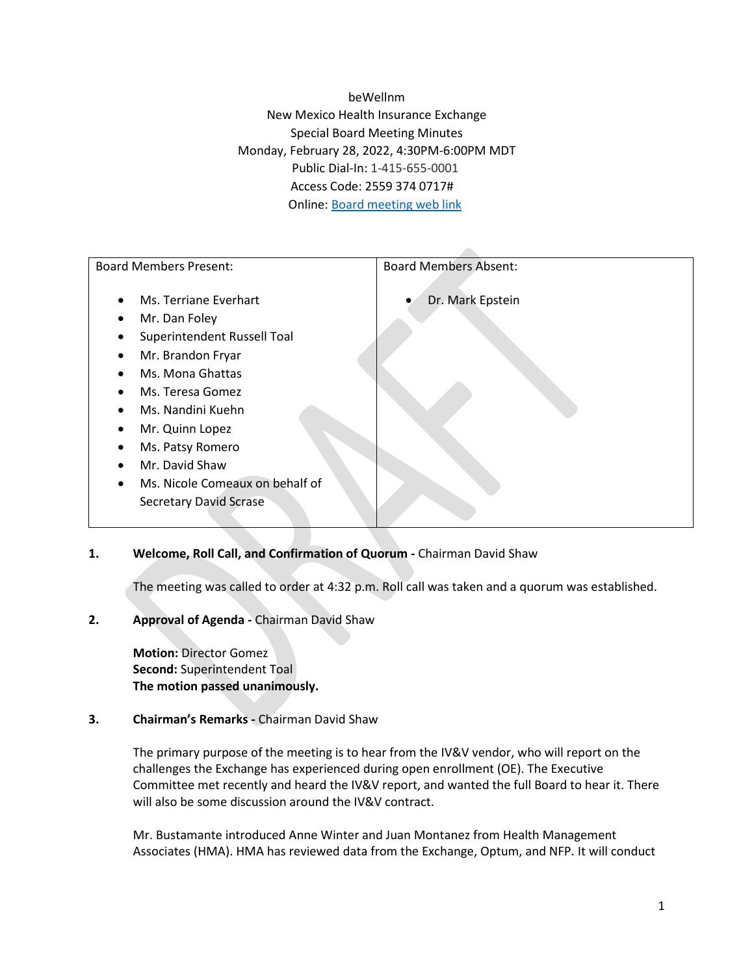beWellnm New Mexico Health Insurance Exchange Special Board Meeting Minutes Monday, February 28, 2022, 4:30PM-6:00PM MDT Public Dial-In: 1-415-655-0001 Access Code: 2559 374 0717# Online: [Board meeting web link](https://newmexicohealthinsuranceexchange.my.webex.com/newmexicohealthinsuranceexchange.my/j.php?MTID=m0da0d8e4e737ea5650a4cfc552d48cf9)

| <b>Board Members Present:</b>                | <b>Board Members Absent:</b> |
|----------------------------------------------|------------------------------|
| Ms. Terriane Everhart<br>$\bullet$           | Dr. Mark Epstein             |
| Mr. Dan Foley<br>$\bullet$                   |                              |
| Superintendent Russell Toal<br>٠             |                              |
| Mr. Brandon Fryar<br>$\bullet$               |                              |
| Ms. Mona Ghattas<br>$\bullet$                |                              |
| Ms. Teresa Gomez<br>$\bullet$                |                              |
| Ms. Nandini Kuehn<br>$\bullet$               |                              |
| Mr. Quinn Lopez<br>٠                         |                              |
| Ms. Patsy Romero<br>$\bullet$                |                              |
| Mr. David Shaw<br>$\bullet$                  |                              |
| Ms. Nicole Comeaux on behalf of<br>$\bullet$ |                              |
| <b>Secretary David Scrase</b>                |                              |
|                                              |                              |

# **1. Welcome, Roll Call, and Confirmation of Quorum -** Chairman David Shaw

The meeting was called to order at 4:32 p.m. Roll call was taken and a quorum was established.

#### **2. Approval of Agenda -** Chairman David Shaw

**Motion:** Director Gomez **Second:** Superintendent Toal **The motion passed unanimously.** 

# **3. Chairman's Remarks -** Chairman David Shaw

The primary purpose of the meeting is to hear from the IV&V vendor, who will report on the challenges the Exchange has experienced during open enrollment (OE). The Executive Committee met recently and heard the IV&V report, and wanted the full Board to hear it. There will also be some discussion around the IV&V contract.

Mr. Bustamante introduced Anne Winter and Juan Montanez from Health Management Associates (HMA). HMA has reviewed data from the Exchange, Optum, and NFP. It will conduct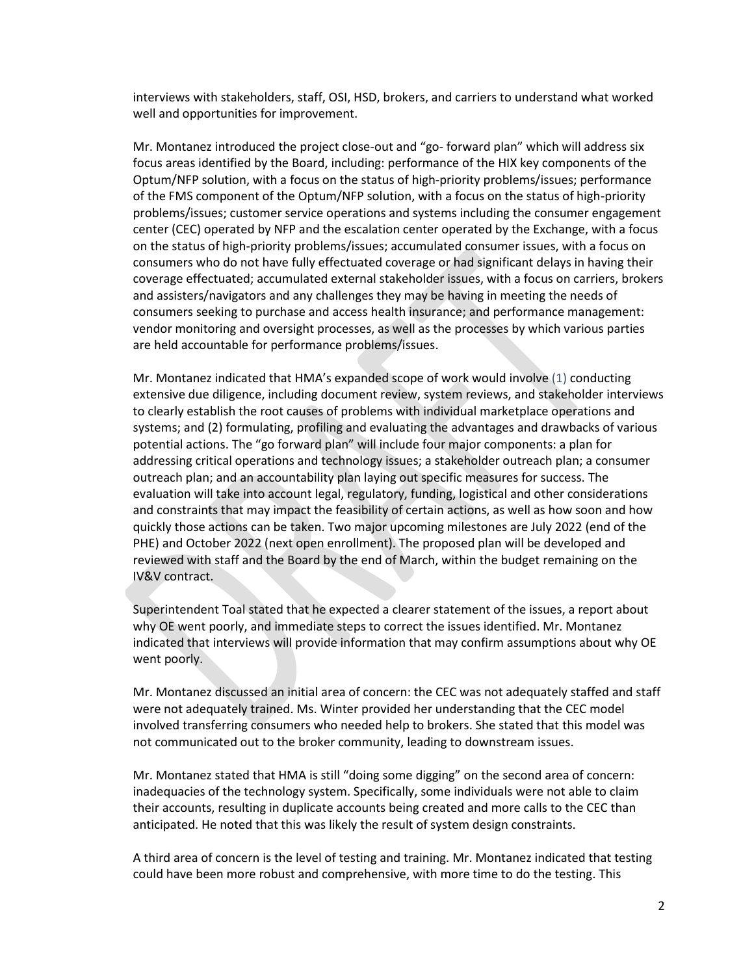interviews with stakeholders, staff, OSI, HSD, brokers, and carriers to understand what worked well and opportunities for improvement.

Mr. Montanez introduced the project close-out and "go- forward plan" which will address six focus areas identified by the Board, including: performance of the HIX key components of the Optum/NFP solution, with a focus on the status of high-priority problems/issues; performance of the FMS component of the Optum/NFP solution, with a focus on the status of high-priority problems/issues; customer service operations and systems including the consumer engagement center (CEC) operated by NFP and the escalation center operated by the Exchange, with a focus on the status of high-priority problems/issues; accumulated consumer issues, with a focus on consumers who do not have fully effectuated coverage or had significant delays in having their coverage effectuated; accumulated external stakeholder issues, with a focus on carriers, brokers and assisters/navigators and any challenges they may be having in meeting the needs of consumers seeking to purchase and access health insurance; and performance management: vendor monitoring and oversight processes, as well as the processes by which various parties are held accountable for performance problems/issues.

Mr. Montanez indicated that HMA's expanded scope of work would involve (1) conducting extensive due diligence, including document review, system reviews, and stakeholder interviews to clearly establish the root causes of problems with individual marketplace operations and systems; and (2) formulating, profiling and evaluating the advantages and drawbacks of various potential actions. The "go forward plan" will include four major components: a plan for addressing critical operations and technology issues; a stakeholder outreach plan; a consumer outreach plan; and an accountability plan laying out specific measures for success. The evaluation will take into account legal, regulatory, funding, logistical and other considerations and constraints that may impact the feasibility of certain actions, as well as how soon and how quickly those actions can be taken. Two major upcoming milestones are July 2022 (end of the PHE) and October 2022 (next open enrollment). The proposed plan will be developed and reviewed with staff and the Board by the end of March, within the budget remaining on the IV&V contract.

Superintendent Toal stated that he expected a clearer statement of the issues, a report about why OE went poorly, and immediate steps to correct the issues identified. Mr. Montanez indicated that interviews will provide information that may confirm assumptions about why OE went poorly.

Mr. Montanez discussed an initial area of concern: the CEC was not adequately staffed and staff were not adequately trained. Ms. Winter provided her understanding that the CEC model involved transferring consumers who needed help to brokers. She stated that this model was not communicated out to the broker community, leading to downstream issues.

Mr. Montanez stated that HMA is still "doing some digging" on the second area of concern: inadequacies of the technology system. Specifically, some individuals were not able to claim their accounts, resulting in duplicate accounts being created and more calls to the CEC than anticipated. He noted that this was likely the result of system design constraints.

A third area of concern is the level of testing and training. Mr. Montanez indicated that testing could have been more robust and comprehensive, with more time to do the testing. This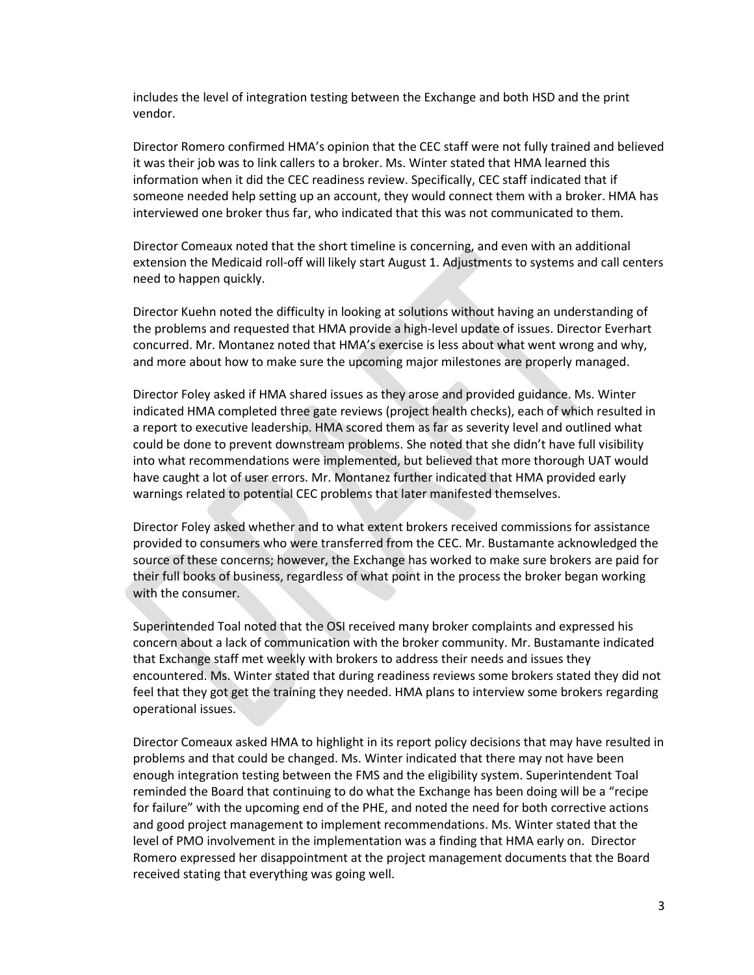includes the level of integration testing between the Exchange and both HSD and the print vendor.

Director Romero confirmed HMA's opinion that the CEC staff were not fully trained and believed it was their job was to link callers to a broker. Ms. Winter stated that HMA learned this information when it did the CEC readiness review. Specifically, CEC staff indicated that if someone needed help setting up an account, they would connect them with a broker. HMA has interviewed one broker thus far, who indicated that this was not communicated to them.

Director Comeaux noted that the short timeline is concerning, and even with an additional extension the Medicaid roll-off will likely start August 1. Adjustments to systems and call centers need to happen quickly.

Director Kuehn noted the difficulty in looking at solutions without having an understanding of the problems and requested that HMA provide a high-level update of issues. Director Everhart concurred. Mr. Montanez noted that HMA's exercise is less about what went wrong and why, and more about how to make sure the upcoming major milestones are properly managed.

Director Foley asked if HMA shared issues as they arose and provided guidance. Ms. Winter indicated HMA completed three gate reviews (project health checks), each of which resulted in a report to executive leadership. HMA scored them as far as severity level and outlined what could be done to prevent downstream problems. She noted that she didn't have full visibility into what recommendations were implemented, but believed that more thorough UAT would have caught a lot of user errors. Mr. Montanez further indicated that HMA provided early warnings related to potential CEC problems that later manifested themselves.

Director Foley asked whether and to what extent brokers received commissions for assistance provided to consumers who were transferred from the CEC. Mr. Bustamante acknowledged the source of these concerns; however, the Exchange has worked to make sure brokers are paid for their full books of business, regardless of what point in the process the broker began working with the consumer.

Superintended Toal noted that the OSI received many broker complaints and expressed his concern about a lack of communication with the broker community. Mr. Bustamante indicated that Exchange staff met weekly with brokers to address their needs and issues they encountered. Ms. Winter stated that during readiness reviews some brokers stated they did not feel that they got get the training they needed. HMA plans to interview some brokers regarding operational issues.

Director Comeaux asked HMA to highlight in its report policy decisions that may have resulted in problems and that could be changed. Ms. Winter indicated that there may not have been enough integration testing between the FMS and the eligibility system. Superintendent Toal reminded the Board that continuing to do what the Exchange has been doing will be a "recipe for failure" with the upcoming end of the PHE, and noted the need for both corrective actions and good project management to implement recommendations. Ms. Winter stated that the level of PMO involvement in the implementation was a finding that HMA early on. Director Romero expressed her disappointment at the project management documents that the Board received stating that everything was going well.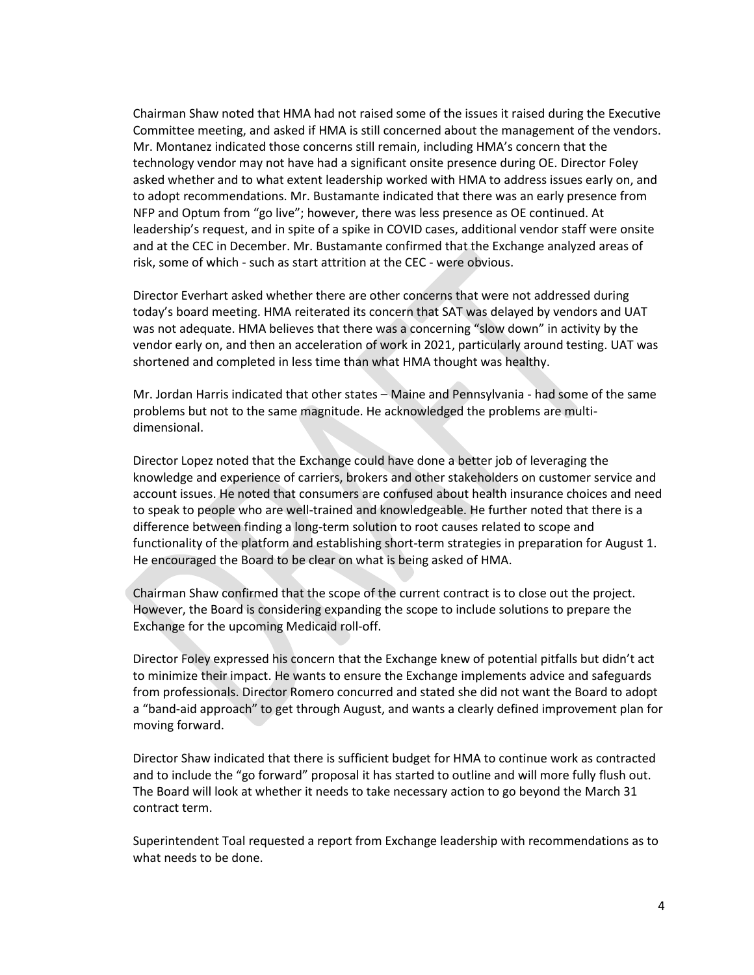Chairman Shaw noted that HMA had not raised some of the issues it raised during the Executive Committee meeting, and asked if HMA is still concerned about the management of the vendors. Mr. Montanez indicated those concerns still remain, including HMA's concern that the technology vendor may not have had a significant onsite presence during OE. Director Foley asked whether and to what extent leadership worked with HMA to address issues early on, and to adopt recommendations. Mr. Bustamante indicated that there was an early presence from NFP and Optum from "go live"; however, there was less presence as OE continued. At leadership's request, and in spite of a spike in COVID cases, additional vendor staff were onsite and at the CEC in December. Mr. Bustamante confirmed that the Exchange analyzed areas of risk, some of which - such as start attrition at the CEC - were obvious.

Director Everhart asked whether there are other concerns that were not addressed during today's board meeting. HMA reiterated its concern that SAT was delayed by vendors and UAT was not adequate. HMA believes that there was a concerning "slow down" in activity by the vendor early on, and then an acceleration of work in 2021, particularly around testing. UAT was shortened and completed in less time than what HMA thought was healthy.

Mr. Jordan Harris indicated that other states – Maine and Pennsylvania - had some of the same problems but not to the same magnitude. He acknowledged the problems are multidimensional.

Director Lopez noted that the Exchange could have done a better job of leveraging the knowledge and experience of carriers, brokers and other stakeholders on customer service and account issues. He noted that consumers are confused about health insurance choices and need to speak to people who are well-trained and knowledgeable. He further noted that there is a difference between finding a long-term solution to root causes related to scope and functionality of the platform and establishing short-term strategies in preparation for August 1. He encouraged the Board to be clear on what is being asked of HMA.

Chairman Shaw confirmed that the scope of the current contract is to close out the project. However, the Board is considering expanding the scope to include solutions to prepare the Exchange for the upcoming Medicaid roll-off.

Director Foley expressed his concern that the Exchange knew of potential pitfalls but didn't act to minimize their impact. He wants to ensure the Exchange implements advice and safeguards from professionals. Director Romero concurred and stated she did not want the Board to adopt a "band-aid approach" to get through August, and wants a clearly defined improvement plan for moving forward.

Director Shaw indicated that there is sufficient budget for HMA to continue work as contracted and to include the "go forward" proposal it has started to outline and will more fully flush out. The Board will look at whether it needs to take necessary action to go beyond the March 31 contract term.

Superintendent Toal requested a report from Exchange leadership with recommendations as to what needs to be done.